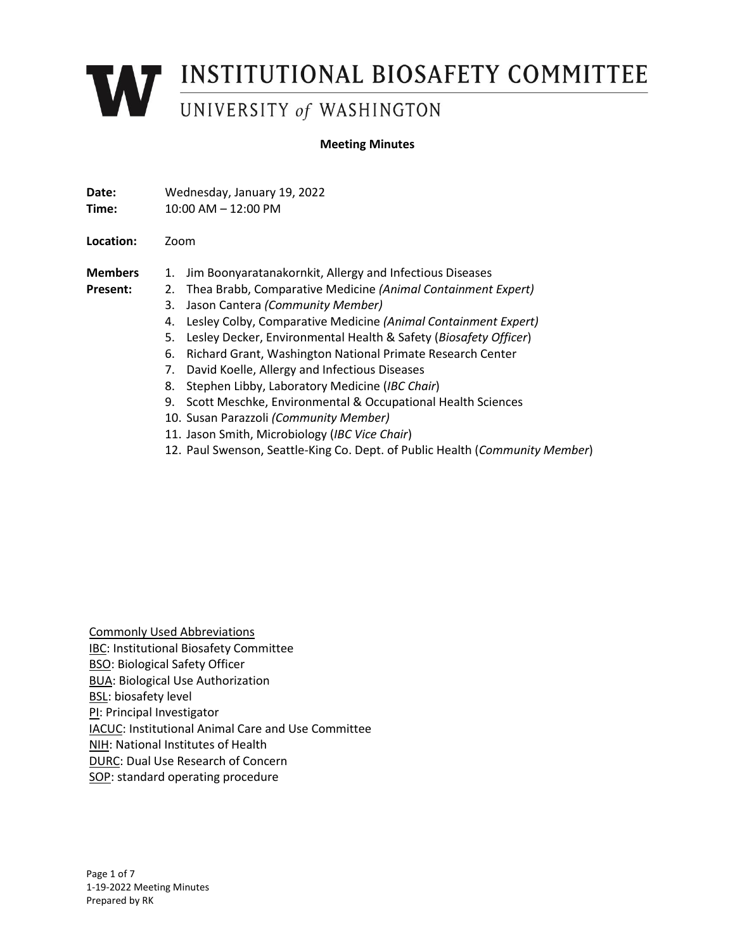# **WEINSTITUTIONAL BIOSAFETY COMMITTEE**

#### **Meeting Minutes**

| Date:     | Wednesday, January 19, 2022 |
|-----------|-----------------------------|
| Time:     | $10:00$ AM $- 12:00$ PM     |
|           |                             |
| Location: | Zoom                        |

**Present:**

- **Members**  1. Jim Boonyaratanakornkit, Allergy and Infectious Diseases
	- 2. Thea Brabb, Comparative Medicine *(Animal Containment Expert)*
		- 3. Jason Cantera *(Community Member)*
		- 4. Lesley Colby, Comparative Medicine *(Animal Containment Expert)*
		- 5. Lesley Decker, Environmental Health & Safety (*Biosafety Officer*)
		- 6. Richard Grant, Washington National Primate Research Center
		- 7. David Koelle, Allergy and Infectious Diseases
		- 8. Stephen Libby, Laboratory Medicine (*IBC Chair*)
		- 9. Scott Meschke, Environmental & Occupational Health Sciences
		- 10. Susan Parazzoli *(Community Member)*
		- 11. Jason Smith, Microbiology (*IBC Vice Chair*)
		- 12. Paul Swenson, Seattle-King Co. Dept. of Public Health (*Community Member*)

Commonly Used Abbreviations IBC: Institutional Biosafety Committee BSO: Biological Safety Officer BUA: Biological Use Authorization **BSL:** biosafety level PI: Principal Investigator IACUC: Institutional Animal Care and Use Committee NIH: National Institutes of Health DURC: Dual Use Research of Concern SOP: standard operating procedure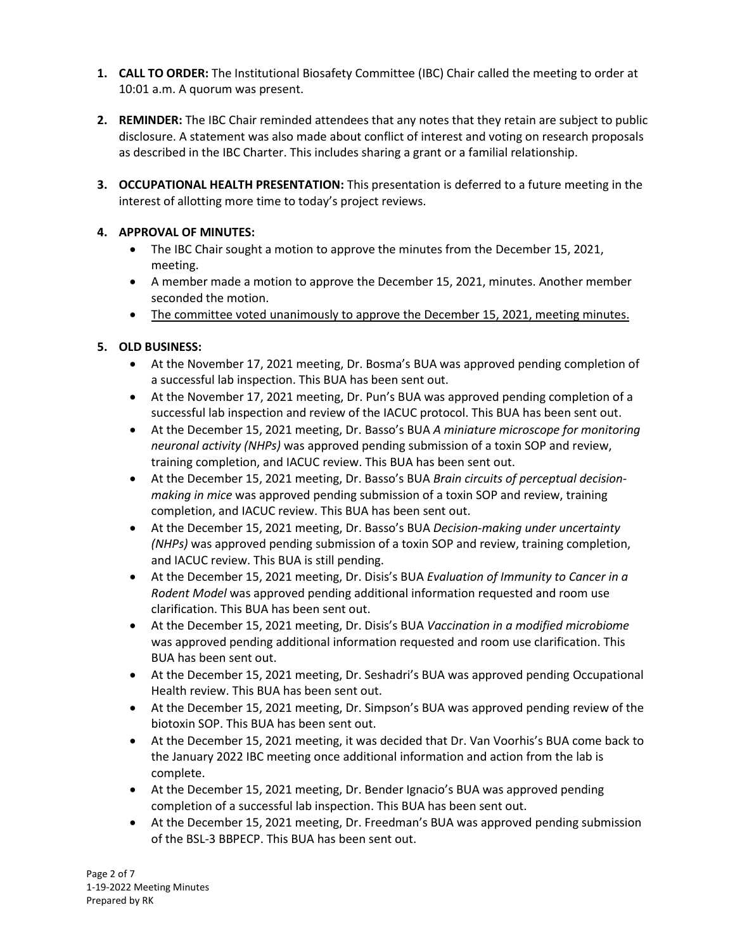- **1. CALL TO ORDER:** The Institutional Biosafety Committee (IBC) Chair called the meeting to order at 10:01 a.m. A quorum was present.
- **2. REMINDER:** The IBC Chair reminded attendees that any notes that they retain are subject to public disclosure. A statement was also made about conflict of interest and voting on research proposals as described in the IBC Charter. This includes sharing a grant or a familial relationship.
- **3. OCCUPATIONAL HEALTH PRESENTATION:** This presentation is deferred to a future meeting in the interest of allotting more time to today's project reviews.

# **4. APPROVAL OF MINUTES:**

- The IBC Chair sought a motion to approve the minutes from the December 15, 2021, meeting.
- A member made a motion to approve the December 15, 2021, minutes. Another member seconded the motion.
- The committee voted unanimously to approve the December 15, 2021, meeting minutes.

# **5. OLD BUSINESS:**

- At the November 17, 2021 meeting, Dr. Bosma's BUA was approved pending completion of a successful lab inspection. This BUA has been sent out.
- At the November 17, 2021 meeting, Dr. Pun's BUA was approved pending completion of a successful lab inspection and review of the IACUC protocol. This BUA has been sent out.
- At the December 15, 2021 meeting, Dr. Basso's BUA *A miniature microscope for monitoring neuronal activity (NHPs)* was approved pending submission of a toxin SOP and review, training completion, and IACUC review. This BUA has been sent out.
- At the December 15, 2021 meeting, Dr. Basso's BUA *Brain circuits of perceptual decisionmaking in mice* was approved pending submission of a toxin SOP and review, training completion, and IACUC review. This BUA has been sent out.
- At the December 15, 2021 meeting, Dr. Basso's BUA *Decision-making under uncertainty (NHPs)* was approved pending submission of a toxin SOP and review, training completion, and IACUC review. This BUA is still pending.
- At the December 15, 2021 meeting, Dr. Disis's BUA *Evaluation of Immunity to Cancer in a Rodent Model* was approved pending additional information requested and room use clarification. This BUA has been sent out.
- At the December 15, 2021 meeting, Dr. Disis's BUA *Vaccination in a modified microbiome* was approved pending additional information requested and room use clarification. This BUA has been sent out.
- At the December 15, 2021 meeting, Dr. Seshadri's BUA was approved pending Occupational Health review. This BUA has been sent out.
- At the December 15, 2021 meeting, Dr. Simpson's BUA was approved pending review of the biotoxin SOP. This BUA has been sent out.
- At the December 15, 2021 meeting, it was decided that Dr. Van Voorhis's BUA come back to the January 2022 IBC meeting once additional information and action from the lab is complete.
- At the December 15, 2021 meeting, Dr. Bender Ignacio's BUA was approved pending completion of a successful lab inspection. This BUA has been sent out.
- At the December 15, 2021 meeting, Dr. Freedman's BUA was approved pending submission of the BSL-3 BBPECP. This BUA has been sent out.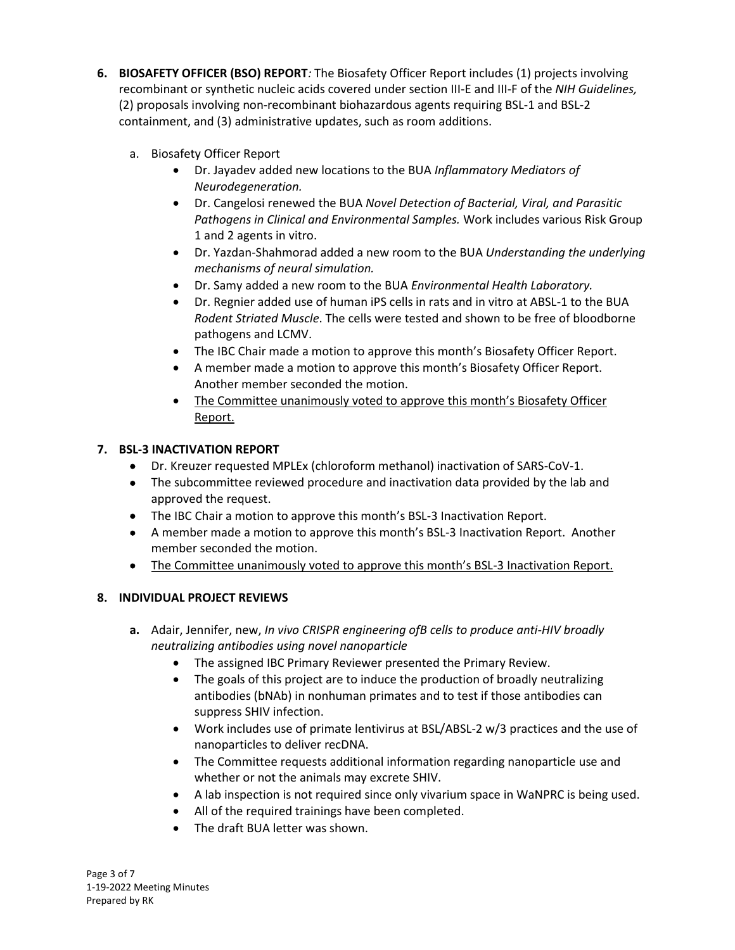- **6. BIOSAFETY OFFICER (BSO) REPORT***:* The Biosafety Officer Report includes (1) projects involving recombinant or synthetic nucleic acids covered under section III-E and III-F of the *NIH Guidelines,* (2) proposals involving non-recombinant biohazardous agents requiring BSL-1 and BSL-2 containment, and (3) administrative updates, such as room additions.
	- a. Biosafety Officer Report
		- Dr. Jayadev added new locations to the BUA *Inflammatory Mediators of Neurodegeneration.*
		- Dr. Cangelosi renewed the BUA *Novel Detection of Bacterial, Viral, and Parasitic Pathogens in Clinical and Environmental Samples.* Work includes various Risk Group 1 and 2 agents in vitro.
		- Dr. Yazdan-Shahmorad added a new room to the BUA *Understanding the underlying mechanisms of neural simulation.*
		- Dr. Samy added a new room to the BUA *Environmental Health Laboratory.*
		- Dr. Regnier added use of human iPS cells in rats and in vitro at ABSL-1 to the BUA *Rodent Striated Muscle*. The cells were tested and shown to be free of bloodborne pathogens and LCMV.
		- The IBC Chair made a motion to approve this month's Biosafety Officer Report.
		- A member made a motion to approve this month's Biosafety Officer Report. Another member seconded the motion.
		- The Committee unanimously voted to approve this month's Biosafety Officer Report.

# **7. BSL-3 INACTIVATION REPORT**

- Dr. Kreuzer requested MPLEx (chloroform methanol) inactivation of SARS-CoV-1.
- The subcommittee reviewed procedure and inactivation data provided by the lab and approved the request.
- The IBC Chair a motion to approve this month's BSL-3 Inactivation Report.
- A member made a motion to approve this month's BSL-3 Inactivation Report. Another member seconded the motion.
- The Committee unanimously voted to approve this month's BSL-3 Inactivation Report.

# **8. INDIVIDUAL PROJECT REVIEWS**

- **a.** Adair, Jennifer, new, *In vivo CRISPR engineering ofB cells to produce anti-HIV broadly neutralizing antibodies using novel nanoparticle*
	- The assigned IBC Primary Reviewer presented the Primary Review.
	- The goals of this project are to induce the production of broadly neutralizing antibodies (bNAb) in nonhuman primates and to test if those antibodies can suppress SHIV infection.
	- Work includes use of primate lentivirus at BSL/ABSL-2 w/3 practices and the use of nanoparticles to deliver recDNA.
	- The Committee requests additional information regarding nanoparticle use and whether or not the animals may excrete SHIV.
	- A lab inspection is not required since only vivarium space in WaNPRC is being used.
	- All of the required trainings have been completed.
	- The draft BUA letter was shown.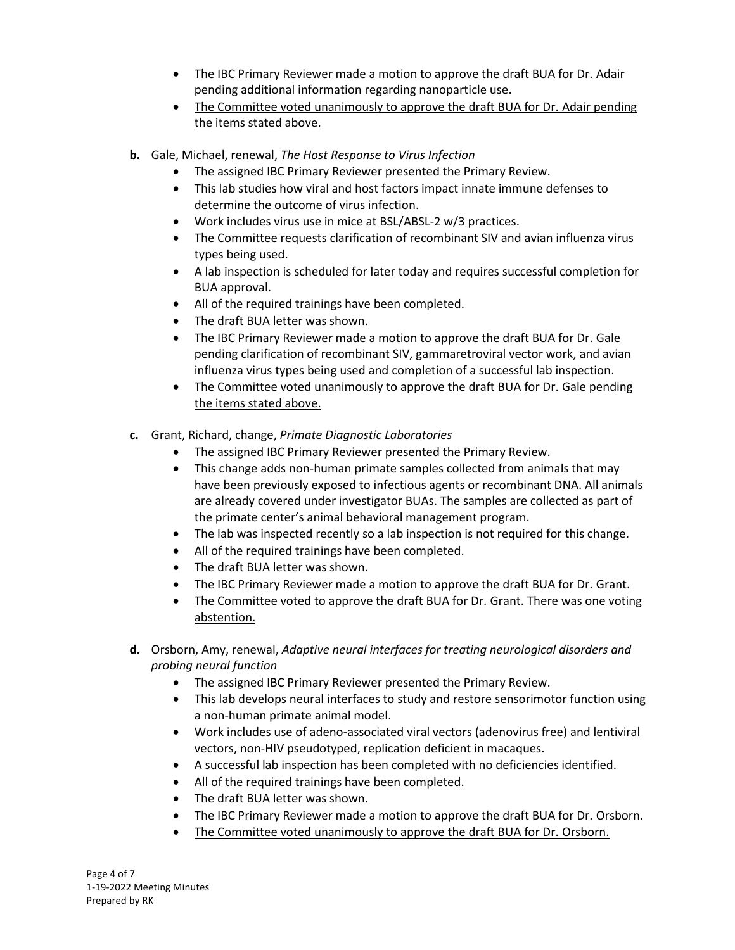- The IBC Primary Reviewer made a motion to approve the draft BUA for Dr. Adair pending additional information regarding nanoparticle use.
- The Committee voted unanimously to approve the draft BUA for Dr. Adair pending the items stated above.
- **b.** Gale, Michael, renewal, *The Host Response to Virus Infection*
	- The assigned IBC Primary Reviewer presented the Primary Review.
	- This lab studies how viral and host factors impact innate immune defenses to determine the outcome of virus infection.
	- Work includes virus use in mice at BSL/ABSL-2 w/3 practices.
	- The Committee requests clarification of recombinant SIV and avian influenza virus types being used.
	- A lab inspection is scheduled for later today and requires successful completion for BUA approval.
	- All of the required trainings have been completed.
	- The draft BUA letter was shown.
	- The IBC Primary Reviewer made a motion to approve the draft BUA for Dr. Gale pending clarification of recombinant SIV, gammaretroviral vector work, and avian influenza virus types being used and completion of a successful lab inspection.
	- The Committee voted unanimously to approve the draft BUA for Dr. Gale pending the items stated above.
- **c.** Grant, Richard, change, *Primate Diagnostic Laboratories*
	- The assigned IBC Primary Reviewer presented the Primary Review.
	- This change adds non-human primate samples collected from animals that may have been previously exposed to infectious agents or recombinant DNA. All animals are already covered under investigator BUAs. The samples are collected as part of the primate center's animal behavioral management program.
	- The lab was inspected recently so a lab inspection is not required for this change.
	- All of the required trainings have been completed.
	- The draft BUA letter was shown.
	- The IBC Primary Reviewer made a motion to approve the draft BUA for Dr. Grant.
	- The Committee voted to approve the draft BUA for Dr. Grant. There was one voting abstention.
- **d.** Orsborn, Amy, renewal, *Adaptive neural interfaces for treating neurological disorders and probing neural function*
	- The assigned IBC Primary Reviewer presented the Primary Review.
	- This lab develops neural interfaces to study and restore sensorimotor function using a non-human primate animal model.
	- Work includes use of adeno-associated viral vectors (adenovirus free) and lentiviral vectors, non-HIV pseudotyped, replication deficient in macaques.
	- A successful lab inspection has been completed with no deficiencies identified.
	- All of the required trainings have been completed.
	- The draft BUA letter was shown.
	- The IBC Primary Reviewer made a motion to approve the draft BUA for Dr. Orsborn.
	- The Committee voted unanimously to approve the draft BUA for Dr. Orsborn.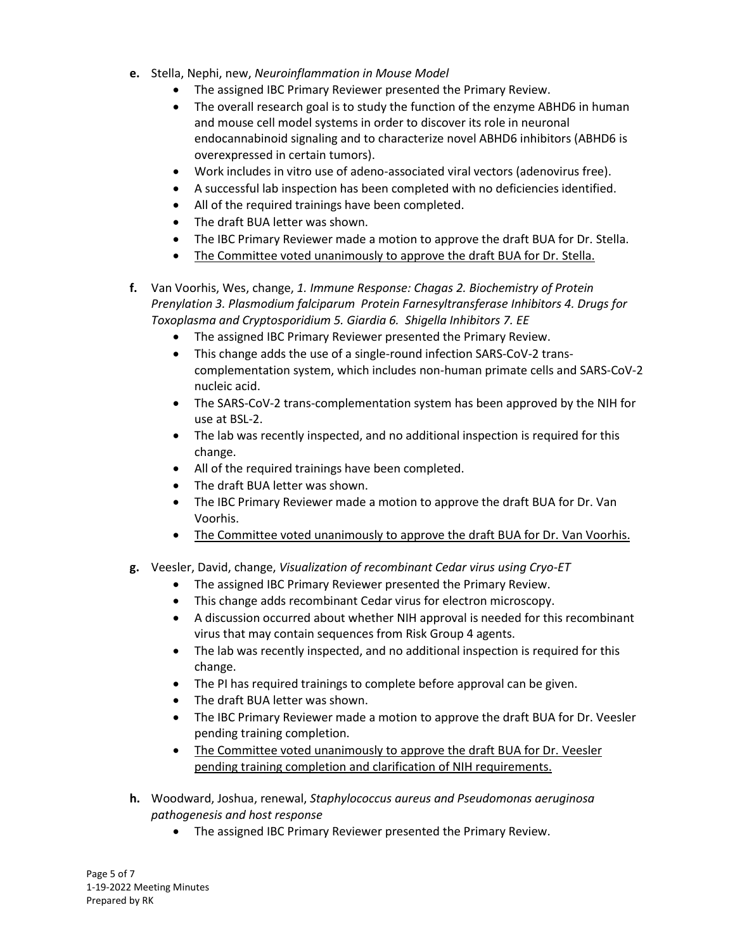- **e.** Stella, Nephi, new, *Neuroinflammation in Mouse Model*
	- The assigned IBC Primary Reviewer presented the Primary Review.
	- The overall research goal is to study the function of the enzyme ABHD6 in human and mouse cell model systems in order to discover its role in neuronal endocannabinoid signaling and to characterize novel ABHD6 inhibitors (ABHD6 is overexpressed in certain tumors).
	- Work includes in vitro use of adeno-associated viral vectors (adenovirus free).
	- A successful lab inspection has been completed with no deficiencies identified.
	- All of the required trainings have been completed.
	- The draft BUA letter was shown.
	- The IBC Primary Reviewer made a motion to approve the draft BUA for Dr. Stella.
	- The Committee voted unanimously to approve the draft BUA for Dr. Stella.
- **f.** Van Voorhis, Wes, change, *1. Immune Response: Chagas 2. Biochemistry of Protein Prenylation 3. Plasmodium falciparum Protein Farnesyltransferase Inhibitors 4. Drugs for Toxoplasma and Cryptosporidium 5. Giardia 6. Shigella Inhibitors 7. EE*
	- The assigned IBC Primary Reviewer presented the Primary Review.
	- This change adds the use of a single-round infection SARS-CoV-2 transcomplementation system, which includes non-human primate cells and SARS-CoV-2 nucleic acid.
	- The SARS-CoV-2 trans-complementation system has been approved by the NIH for use at BSL-2.
	- The lab was recently inspected, and no additional inspection is required for this change.
	- All of the required trainings have been completed.
	- The draft BUA letter was shown.
	- The IBC Primary Reviewer made a motion to approve the draft BUA for Dr. Van Voorhis.
	- The Committee voted unanimously to approve the draft BUA for Dr. Van Voorhis.
- **g.** Veesler, David, change, *Visualization of recombinant Cedar virus using Cryo-ET*
	- The assigned IBC Primary Reviewer presented the Primary Review.
	- This change adds recombinant Cedar virus for electron microscopy.
	- A discussion occurred about whether NIH approval is needed for this recombinant virus that may contain sequences from Risk Group 4 agents.
	- The lab was recently inspected, and no additional inspection is required for this change.
	- The PI has required trainings to complete before approval can be given.
	- The draft BUA letter was shown.
	- The IBC Primary Reviewer made a motion to approve the draft BUA for Dr. Veesler pending training completion.
	- The Committee voted unanimously to approve the draft BUA for Dr. Veesler pending training completion and clarification of NIH requirements.
- **h.** Woodward, Joshua, renewal, *Staphylococcus aureus and Pseudomonas aeruginosa pathogenesis and host response*
	- The assigned IBC Primary Reviewer presented the Primary Review.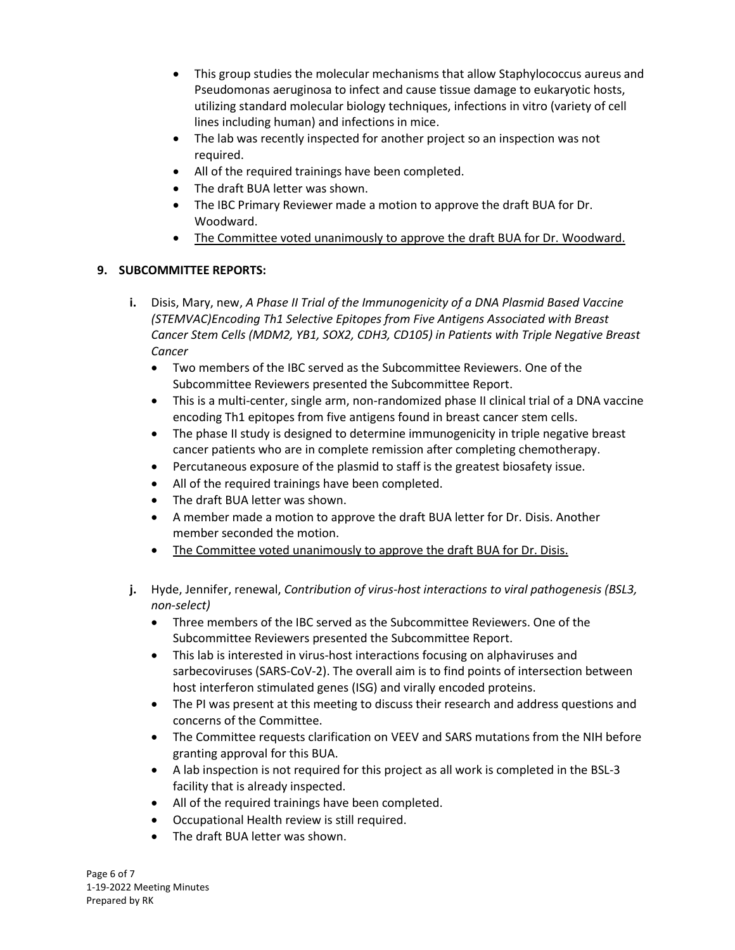- This group studies the molecular mechanisms that allow Staphylococcus aureus and Pseudomonas aeruginosa to infect and cause tissue damage to eukaryotic hosts, utilizing standard molecular biology techniques, infections in vitro (variety of cell lines including human) and infections in mice.
- The lab was recently inspected for another project so an inspection was not required.
- All of the required trainings have been completed.
- The draft BUA letter was shown.
- The IBC Primary Reviewer made a motion to approve the draft BUA for Dr. Woodward.
- The Committee voted unanimously to approve the draft BUA for Dr. Woodward.

# **9. SUBCOMMITTEE REPORTS:**

- **i.** Disis, Mary, new, *A Phase II Trial of the Immunogenicity of a DNA Plasmid Based Vaccine (STEMVAC)Encoding Th1 Selective Epitopes from Five Antigens Associated with Breast Cancer Stem Cells (MDM2, YB1, SOX2, CDH3, CD105) in Patients with Triple Negative Breast Cancer*
	- Two members of the IBC served as the Subcommittee Reviewers. One of the Subcommittee Reviewers presented the Subcommittee Report.
	- This is a multi-center, single arm, non-randomized phase II clinical trial of a DNA vaccine encoding Th1 epitopes from five antigens found in breast cancer stem cells.
	- The phase II study is designed to determine immunogenicity in triple negative breast cancer patients who are in complete remission after completing chemotherapy.
	- Percutaneous exposure of the plasmid to staff is the greatest biosafety issue.
	- All of the required trainings have been completed.
	- The draft BUA letter was shown.
	- A member made a motion to approve the draft BUA letter for Dr. Disis. Another member seconded the motion.
	- The Committee voted unanimously to approve the draft BUA for Dr. Disis.
- **j.** Hyde, Jennifer, renewal, *Contribution of virus-host interactions to viral pathogenesis (BSL3, non-select)*
	- Three members of the IBC served as the Subcommittee Reviewers. One of the Subcommittee Reviewers presented the Subcommittee Report.
	- This lab is interested in virus-host interactions focusing on alphaviruses and sarbecoviruses (SARS-CoV-2). The overall aim is to find points of intersection between host interferon stimulated genes (ISG) and virally encoded proteins.
	- The PI was present at this meeting to discuss their research and address questions and concerns of the Committee.
	- The Committee requests clarification on VEEV and SARS mutations from the NIH before granting approval for this BUA.
	- A lab inspection is not required for this project as all work is completed in the BSL-3 facility that is already inspected.
	- All of the required trainings have been completed.
	- Occupational Health review is still required.
	- The draft BUA letter was shown.